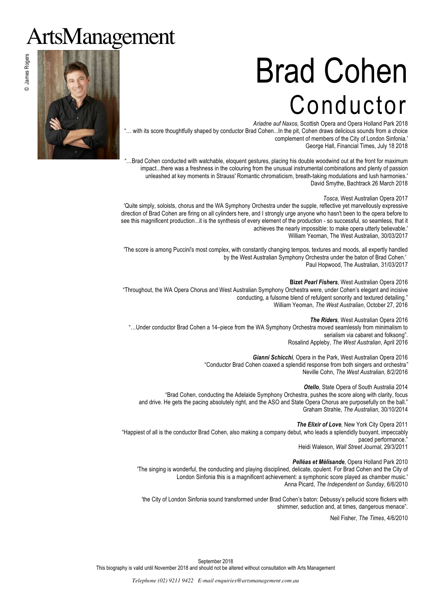# ArtsManagement

# Brad Cohen Conductor

*Ariadne auf Naxos,* Scottish Opera and Opera Holland Park 2018 .. with its score thoughtfully shaped by conductor Brad Cohen...In the pit, Cohen draws delicious sounds from a choice complement of members of the City of London Sinfonia.' George Hall, Financial Times, July 18 2018

..Brad Cohen conducted with watchable, eloquent gestures, placing his double woodwind out at the front for maximum impact...there was a freshness in the colouring from the unusual instrumental combinations and plenty of passion unleashed at key moments in Strauss' Romantic chromaticism, breath-taking modulations and lush harmonies.' David Smythe, Bachtrack 26 March 2018

#### *Tosca*, West Australian Opera 2017

'Quite simply, soloists, chorus and the WA Symphony Orchestra under the supple, reflective yet marvellously expressive direction of Brad Cohen are firing on all cylinders here, and I strongly urge anyone who hasn't been to the opera before to see this magnificent production...it is the synthesis of every element of the production - so successful, so seamless, that it achieves the nearly impossible: to make opera utterly believable.' William Yeoman, The West Australian, 30/03/2017

'The score is among Puccini's most complex, with constantly changing tempos, textures and moods, all expertly handled by the West Australian Symphony Orchestra under the baton of Brad Cohen.' Paul Hopwood, The Australian, 31/03/2017

**Bizet** *Pearl Fishers*, West Australian Opera 2016 "Throughout, the WA Opera Chorus and West Australian Symphony Orchestra were, under Cohen's elegant and incisive conducting, a fulsome blend of refulgent sonority and textured detailing." William Yeoman, *The West Australian*, October 27, 2016

*The Riders,* West Australian Opera 2016 "…Under conductor Brad Cohen a 14–piece from the WA Symphony Orchestra moved seamlessly from minimalism to serialism via cabaret and folksong". Rosalind Appleby, *The West Australian*, April 2016

> *Gianni Schicchi,* Opera in the Park, West Australian Opera 2016 "Conductor Brad Cohen coaxed a splendid response from both singers and orchestra*"*  Neville Cohn, *The West Australian*, 8/2/2016

> > *Otello*, State Opera of South Australia 2014

"Brad Cohen, conducting the Adelaide Symphony Orchestra, pushes the score along with clarity, focus and drive. He gets the pacing absolutely right, and the ASO and State Opera Chorus are purposefully on the ball." Graham Strahle, *The Australian*, 30/10/2014

*The Elixir of Love,* New York City Opera 2011 "Happiest of all is the conductor Brad Cohen, also making a company debut, who leads a splendidly buoyant, impeccably paced performance."

Heidi Waleson, *Wall Street Journal,* 29/3/2011

#### *Pelléas et Mélisande*, Opera Holland Park 2010

'The singing is wonderful, the conducting and playing disciplined, delicate, opulent. For Brad Cohen and the City of London Sinfonia this is a magnificent achievement: a symphonic score played as chamber music.' Anna Picard, *The Independent on Sunday*, 6/6/2010

'the City of London Sinfonia sound transformed under Brad Cohen's baton: Debussy's pellucid score flickers with shimmer, seduction and, at times, dangerous menace".

Neil Fisher, *The Times*, 4/6/2010



© James Rogers

© James Rogers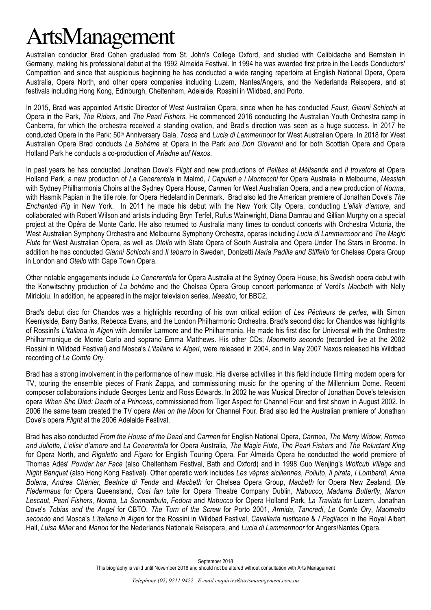### ArtsManagement

Australian conductor Brad Cohen graduated from St. John's College Oxford, and studied with Celibidache and Bernstein in Germany, making his professional debut at the 1992 Almeida Festival. In 1994 he was awarded first prize in the Leeds Conductors' Competition and since that auspicious beginning he has conducted a wide ranging repertoire at English National Opera, Opera Australia, Opera North, and other opera companies including Luzern, Nantes/Angers, and the Nederlands Reisopera, and at festivals including Hong Kong, Edinburgh, Cheltenham, Adelaide, Rossini in Wildbad, and Porto.

In 2015, Brad was appointed Artistic Director of West Australian Opera, since when he has conducted *Faust, Gianni Schicchi* at Opera in the Park, *The Riders*, and *The Pearl Fishers*. He commenced 2016 conducting the Australian Youth Orchestra camp in Canberra, for which the orchestra received a standing ovation, and Brad's direction was seen as a huge success. In 2017 he conducted Opera in the Park: 50th Anniversary Gala, *Tosca* and *Lucia di Lammermoor* for West Australian Opera. In 2018 for West Australian Opera Brad conducts *La Bohème* at Opera in the Park *and Don Giovanni* and for both Scottish Opera and Opera Holland Park he conducts a co-production of *Ariadne auf Naxos*.

In past years he has conducted Jonathan Dove's *Flight* and new productions of *Pelléas et Mélisande* and *Il trovatore* at Opera Holland Park, a new production of *La Cenerentola* in Malmö, *I Capuleti e i Montecchi* for Opera Australia in Melbourne, *Messiah* with Sydney Philharmonia Choirs at the Sydney Opera House, *Carmen* for West Australian Opera, and a new production of *Norma*, with Hasmik Papian in the title role, for Opera Hedeland in Denmark. Brad also led the American premiere of Jonathan Dove's *The Enchanted Pig* in New York. In 2011 he made his debut with the New York City Opera, conducting *L'elisir d'amore*, and collaborated with Robert Wilson and artists including Bryn Terfel, Rufus Wainwright, Diana Damrau and Gillian Murphy on a special project at the Opéra de Monte Carlo. He also returned to Australia many times to conduct concerts with Orchestra Victoria, the West Australian Symphony Orchestra and Melbourne Symphony Orchestra, operas including *Lucia di Lammermoor* and *The Magic Flute* for West Australian Opera, as well as *Otello* with State Opera of South Australia and Opera Under The Stars in Broome. In addition he has conducted *Gianni Schicchi* and *Il tabarro* in Sweden, Donizetti *Maria Padilla and Stiffelio* for Chelsea Opera Group in London and *Otello* with Cape Town Opera.

Other notable engagements include *La Cenerentola* for Opera Australia at the Sydney Opera House, his Swedish opera debut with the Konwitschny production of *La bohème* and the Chelsea Opera Group concert performance of Verdi's *Macbeth* with Nelly Miricioiu. In addition, he appeared in the major television series, *Maestro*, for BBC2.

Brad's debut disc for Chandos was a highlights recording of his own critical edition of *Les Pêcheurs de perles*, with Simon Keenlyside, Barry Banks, Rebecca Evans, and the London Philharmonic Orchestra. Brad's second disc for Chandos was highlights of Rossini's *L'italiana in Algeri* with Jennifer Larmore and the Philharmonia. He made his first disc for Universal with the Orchestre Philharmonique de Monte Carlo and soprano Emma Matthews. His other CDs, *Maometto secondo* (recorded live at the 2002 Rossini in Wildbad Festival) and Mosca's *L'italiana in Algeri*, were released in 2004, and in May 2007 Naxos released his Wildbad recording of *Le Comte Ory*.

Brad has a strong involvement in the performance of new music. His diverse activities in this field include filming modern opera for TV, touring the ensemble pieces of Frank Zappa, and commissioning music for the opening of the Millennium Dome. Recent composer collaborations include Georges Lentz and Ross Edwards. In 2002 he was Musical Director of Jonathan Dove's television opera *When She Died: Death of a Princess*, commissioned from Tiger Aspect for Channel Four and first shown in August 2002. In 2006 the same team created the TV opera *Man on the Moon* for Channel Four. Brad also led the Australian premiere of Jonathan Dove's opera *Flight* at the 2006 Adelaide Festival.

Brad has also conducted *From the House of the Dead* and *Carmen* for English National Opera, *Carmen*, *The Merry Widow, Romeo and Juliette, L'elisir d'amore* and *La Cenerentola* for Opera Australia, *The Magic Flute*, *The Pearl Fishers* and *The Reluctant King* for Opera North, and *Rigoletto* and *Figaro* for English Touring Opera. For Almeida Opera he conducted the world premiere of Thomas Adès' *Powder her Face* (also Cheltenham Festival, Bath and Oxford) and in 1998 Guo Wenjing's *Wolfcub Village* and *Night Banquet* (also Hong Kong Festival). Other operatic work includes *Les vêpres siciliennes*, *Poliuto*, *Il pirata*, *I Lombardi*, *Anna Bolena*, *Andrea Chénier, Beatrice di Tenda* and *Macbeth* for Chelsea Opera Group, *Macbeth* for Opera New Zealand, *Die Fledermaus* for Opera Queensland, *Così fan tutte* for Opera Theatre Company Dublin, *Nabucco*, *Madama Butterfly*, *Manon Lescaut*, *Pearl Fishers*, *Norma, La Sonnambula, Fedora* and *Nabucco* for Opera Holland Park, *La Traviata* for Luzern, Jonathan Dove's *Tobias and the Angel* for CBTO, *The Turn of the Screw* for Porto 2001, *Armida*, *Tancredi*, *Le Comte Ory*, *Maometto secondo* and Mosca's *L'italiana in Algeri* for the Rossini in Wildbad Festival, *Cavalleria rusticana* & *I Pagliacci* in the Royal Albert Hall, *Luisa Miller* and *Manon* for the Nederlands Nationale Reisopera, and *Lucia di Lammermoor* for Angers/Nantes Opera.